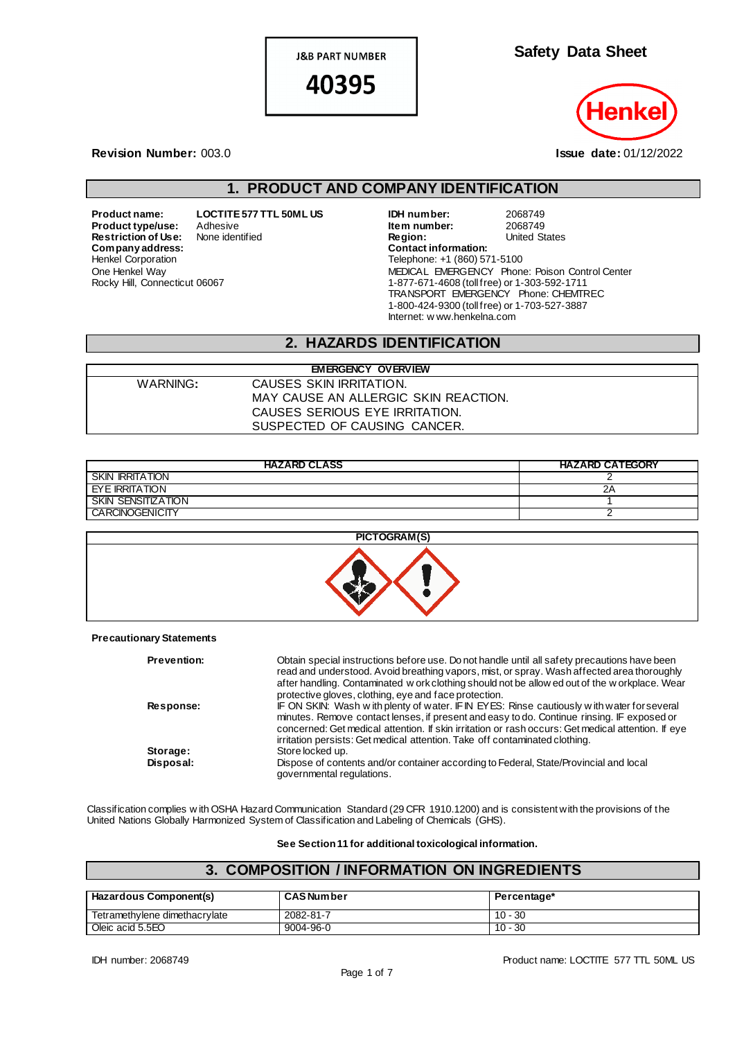**J&B PART NUMBER** 

40395

**Safety Data Sheet**

#### **Revision Number:** 003.0 **Issue date:** 01/12/2022

### **1. PRODUCT AND COMPANY IDENTIFICATION**

**Product name: LOCTITE 577 TTL 50ML US**<br>**Product type/use:** Adhesive **Product type/use:** Adhesive<br>**Restriction of Use:** None identified **Restriction of Use:**  $Company address:$ Henkel Corporation One Henkel Way Rocky Hill, Connecticut 06067

| IDH number:                                  | 2068749                                        |
|----------------------------------------------|------------------------------------------------|
| Item number:                                 | 2068749                                        |
| Region:                                      | <b>United States</b>                           |
| <b>Contact information:</b>                  |                                                |
| Telephone: +1 (860) 571-5100                 |                                                |
|                                              | MEDICAL EMERGENCY Phone: Poison Control Center |
| 1-877-671-4608 (toll free) or 1-303-592-1711 |                                                |
|                                              | TRANSPORT EMERGENCY Phone: CHEMTREC            |
| 1-800-424-9300 (toll free) or 1-703-527-3887 |                                                |
| Internet: w ww.henkelna.com                  |                                                |

### **2. HAZARDS IDENTIFICATION**

| <b>EMERGENCY OVERVIEW</b> |                                      |  |
|---------------------------|--------------------------------------|--|
| WARNING:                  | CAUSES SKIN IRRITATION.              |  |
|                           | MAY CAUSE AN ALLERGIC SKIN REACTION. |  |
|                           | CAUSES SERIOUS EYE IRRITATION.       |  |
|                           | SUSPECTED OF CAUSING CANCER.         |  |
|                           |                                      |  |

| <b>HAZARD CLASS</b>       | <b>HAZARD CATEGORY</b> |
|---------------------------|------------------------|
| <b>SKIN IRRITATION</b>    |                        |
| EYE IRRITATION            | 2Α                     |
| <b>SKIN SENSITIZATION</b> |                        |
| <b>CARCINOGENICITY</b>    |                        |



#### **Precautionary Statements**

| <b>Prevention:</b> | Obtain special instructions before use. Do not handle until all safety precautions have been<br>read and understood. Avoid breathing vapors, mist, or spray. Wash affected area thoroughly<br>after handling. Contaminated w ork clothing should not be allow ed out of the w orkplace. Wear<br>protective gloves, clothing, eye and face protection.                         |
|--------------------|-------------------------------------------------------------------------------------------------------------------------------------------------------------------------------------------------------------------------------------------------------------------------------------------------------------------------------------------------------------------------------|
| <b>Response:</b>   | IF ON SKIN: Wash with plenty of water. IF IN EYES: Rinse cautiously with water for several<br>minutes. Remove contact lenses, if present and easy to do. Continue rinsing. IF exposed or<br>concerned: Get medical attention. If skin irritation or rash occurs: Get medical attention. If eye<br>irritation persists: Get medical attention. Take off contaminated clothing. |
| Storage:           | Store locked up.                                                                                                                                                                                                                                                                                                                                                              |
| Disposal:          | Dispose of contents and/or container according to Federal, State/Provincial and local<br>governmental regulations.                                                                                                                                                                                                                                                            |

Classification complies w ith OSHA Hazard Communication Standard (29 CFR 1910.1200) and is consistent with the provisions of the United Nations Globally Harmonized System of Classification and Labeling of Chemicals (GHS).

**See Section 11 for additional toxicological information.**

## **3. COMPOSITION / INFORMATION ON INGREDIENTS**

| <b>Hazardous Component(s)</b> | <b>CAS Number</b> | Percentage* |
|-------------------------------|-------------------|-------------|
| Tetramethylene dimethacrylate | 2082-81-7         | 10 - 30     |
| Oleic acid 5.5EO              | 9004-96-0         | $10 - 30$   |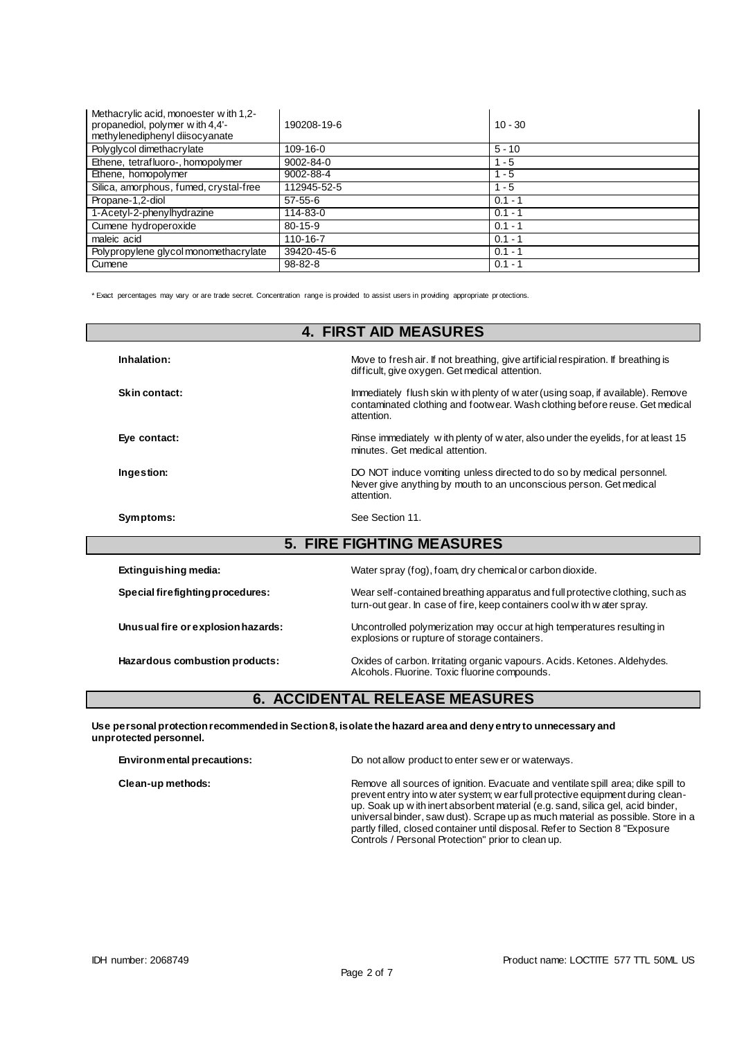| Methacrylic acid, monoester with 1,2-<br>propanediol, polymer with 4,4'-<br>methylenediphenyl diisocyanate | 190208-19-6    | $10 - 30$ |
|------------------------------------------------------------------------------------------------------------|----------------|-----------|
| Polyglycol dimethacrylate                                                                                  | $109 - 16 - 0$ | $5 - 10$  |
| Ethene, tetrafluoro-, homopolymer                                                                          | 9002-84-0      | $1 - 5$   |
| Ethene, homopolymer                                                                                        | 9002-88-4      | $1 - 5$   |
| Silica, amorphous, fumed, crystal-free                                                                     | 112945-52-5    | $1 - 5$   |
| Propane-1,2-diol                                                                                           | $57 - 55 - 6$  | $0.1 - 1$ |
| 1-Acetyl-2-phenylhydrazine                                                                                 | 114-83-0       | $0.1 - 1$ |
| Cumene hydroperoxide                                                                                       | $80 - 15 - 9$  | $0.1 - 1$ |
| maleic acid                                                                                                | 110-16-7       | $0.1 - 1$ |
| Polypropylene glycol monomethacrylate                                                                      | 39420-45-6     | $0.1 - 1$ |
| Cumene                                                                                                     | $98 - 82 - 8$  | $0.1 - 1$ |

\* Exact percentages may vary or are trade secret. Concentration range is provided to assist users in providing appropriate pr otections.

| <b>4. FIRST AID MEASURES</b>       |                                                                                                                                                                               |  |  |
|------------------------------------|-------------------------------------------------------------------------------------------------------------------------------------------------------------------------------|--|--|
| Inhalation:                        | Move to fresh air. If not breathing, give artificial respiration. If breathing is<br>difficult, give oxygen. Get medical attention.                                           |  |  |
| Skin contact:                      | Immediately flush skin w ith plenty of w ater (using soap, if available). Remove<br>contaminated clothing and footwear. Wash clothing before reuse. Get medical<br>attention. |  |  |
| Eve contact:                       | Rinse immediately with plenty of water, also under the eyelids, for at least 15<br>minutes. Get medical attention.                                                            |  |  |
| Ingestion:                         | DO NOT induce vomiting unless directed to do so by medical personnel.<br>Never give anything by mouth to an unconscious person. Get medical<br>attention.                     |  |  |
| Symptoms:                          | See Section 11.                                                                                                                                                               |  |  |
|                                    | <b>5. FIRE FIGHTING MEASURES</b>                                                                                                                                              |  |  |
| <b>Extinguishing media:</b>        | Water spray (fog), foam, dry chemical or carbon dioxide.                                                                                                                      |  |  |
| Special firefighting procedures:   | Wear self-contained breathing apparatus and full protective clothing, such as<br>turn-out gear. In case of fire, keep containers cool with water spray.                       |  |  |
| Unusual fire or explosion hazards: | Uncontrolled polymerization may occur at high temperatures resulting in<br>explosions or rupture of storage containers.                                                       |  |  |
| Hazardous combustion products:     | Oxides of carbon. Irritating organic vapours. Acids. Ketones. Aldehydes.<br>Alcohols. Fluorine. Toxic fluorine compounds.                                                     |  |  |

# **6. ACCIDENTAL RELEASE MEASURES**

**Use personal protection recommended in Section 8, isolate the hazard area and deny entry to unnecessary and unprotected personnel.**

| Environmental precautions: | Do not allow product to enter sew er or waterways.                                                                                                                                                                                                                                                                                                                                                                                                                             |  |
|----------------------------|--------------------------------------------------------------------------------------------------------------------------------------------------------------------------------------------------------------------------------------------------------------------------------------------------------------------------------------------------------------------------------------------------------------------------------------------------------------------------------|--|
| Clean-up methods:          | Remove all sources of ignition. Evacuate and ventilate spill area; dike spill to<br>prevent entry into w ater system; w earfull protective equipment during clean-<br>up. Soak up with inert absorbent material (e.g. sand, silica gel, acid binder,<br>universal binder, saw dust). Scrape up as much material as possible. Store in a<br>partly filled, closed container until disposal. Refer to Section 8 "Exposure"<br>Controls / Personal Protection" prior to clean up. |  |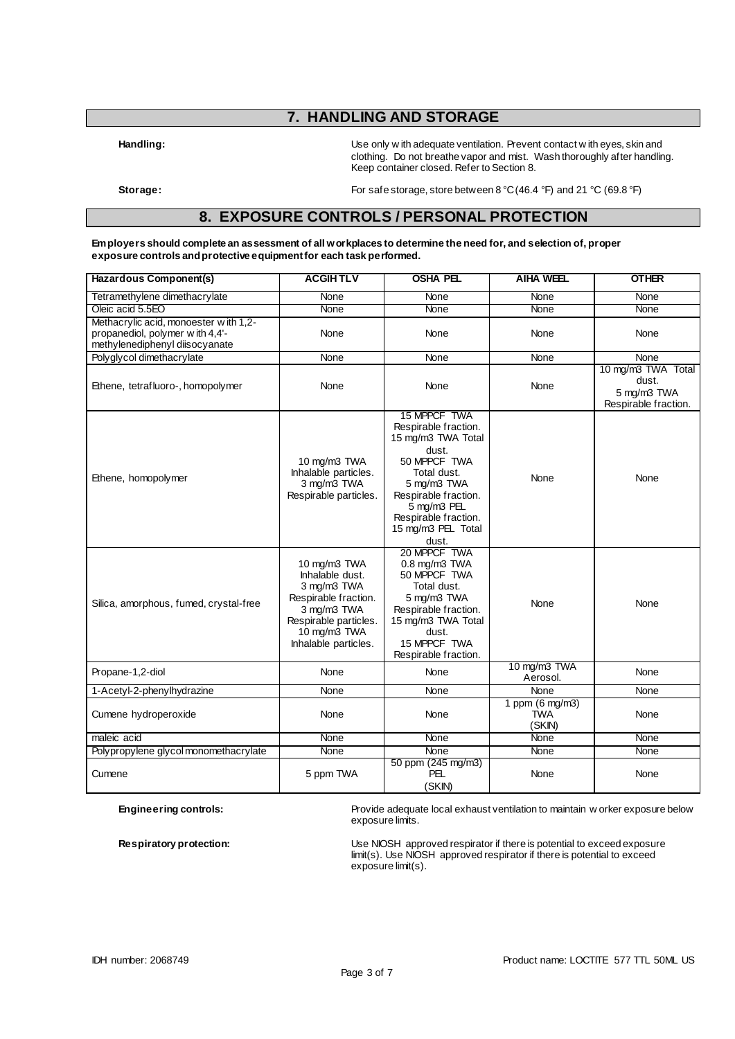## **7. HANDLING AND STORAGE**

**Handling:** Use only w ith adequate ventilation. Prevent contact w ith eyes, skin and clothing. Do not breathe vapor and mist. Wash thoroughly after handling. Keep container closed. Refer to Section 8.

**Storage:** For safe storage, store between 8 °C (46.4 °F) and 21 °C (69.8 °F)

#### **8. EXPOSURE CONTROLS / PERSONAL PROTECTION**

**Employers should complete an assessment of all workplaces to determine the need for, and selection of, proper exposure controls and protective equipment for each task performed.**

| Hazardous Component(s)                                                                                     | <b>ACGIHTLV</b>                                                                                                                                        | <b>OSHA PEL</b>                                                                                                                                                                                                 | <b>AIHA WEEL</b>                                  | <b>OTHER</b>                                                       |
|------------------------------------------------------------------------------------------------------------|--------------------------------------------------------------------------------------------------------------------------------------------------------|-----------------------------------------------------------------------------------------------------------------------------------------------------------------------------------------------------------------|---------------------------------------------------|--------------------------------------------------------------------|
| Tetramethylene dimethacrylate                                                                              | None                                                                                                                                                   | None                                                                                                                                                                                                            | None                                              | None                                                               |
| Oleic acid 5.5EO                                                                                           | None                                                                                                                                                   | None                                                                                                                                                                                                            | None                                              | None                                                               |
| Methacrylic acid, monoester with 1,2-<br>propanediol, polymer with 4,4'-<br>methylenediphenyl diisocyanate | None                                                                                                                                                   | None                                                                                                                                                                                                            | None                                              | None                                                               |
| Polyglycol dimethacrylate                                                                                  | None                                                                                                                                                   | None                                                                                                                                                                                                            | None                                              | None                                                               |
| Ethene, tetrafluoro-, homopolymer                                                                          | None                                                                                                                                                   | None                                                                                                                                                                                                            | None                                              | 10 mg/m3 TWA Total<br>dust.<br>5 mg/m3 TWA<br>Respirable fraction. |
| Ethene, homopolymer                                                                                        | 10 mg/m3 TWA<br>Inhalable particles.<br>3 mg/m3 TWA<br>Respirable particles.                                                                           | 15 MPPCF TWA<br>Respirable fraction.<br>15 mg/m3 TWA Total<br>dust.<br>50 MPPCF TWA<br>Total dust.<br>5 mg/m3 TWA<br>Respirable fraction.<br>5 mg/m3 PEL<br>Respirable fraction.<br>15 mg/m3 PEL Total<br>dust. | None                                              | None                                                               |
| Silica, amorphous, fumed, crystal-free                                                                     | 10 mg/m3 TWA<br>Inhalable dust.<br>3 mg/m3 TWA<br>Respirable fraction.<br>3 mg/m3 TWA<br>Respirable particles.<br>10 mg/m3 TWA<br>Inhalable particles. | 20 MPPCF TWA<br>$0.8$ mg/m $3$ TWA<br>50 MPPCF TWA<br>Total dust.<br>5 mg/m3 TWA<br>Respirable fraction.<br>15 mg/m3 TWA Total<br>dust.<br>15 MPPCF TWA<br>Respirable fraction.                                 | None                                              | None                                                               |
| Propane-1,2-diol                                                                                           | None                                                                                                                                                   | None                                                                                                                                                                                                            | 10 mg/m3 TWA<br>Aerosol.                          | None                                                               |
| 1-Acetyl-2-phenylhydrazine                                                                                 | None                                                                                                                                                   | None                                                                                                                                                                                                            | None                                              | None                                                               |
| Cumene hydroperoxide                                                                                       | None                                                                                                                                                   | None                                                                                                                                                                                                            | 1 ppm $(6 \text{ mg/m3})$<br><b>TWA</b><br>(SKIN) | None                                                               |
| maleic acid                                                                                                | None                                                                                                                                                   | None                                                                                                                                                                                                            | None                                              | None                                                               |
| Polypropylene glycol monomethacrylate                                                                      | None                                                                                                                                                   | None                                                                                                                                                                                                            | None                                              | None                                                               |
| Cumene                                                                                                     | 5 ppm TWA                                                                                                                                              | 50 ppm (245 mg/m3)<br><b>PEL</b><br>(SKIN)                                                                                                                                                                      | None                                              | None                                                               |

**Engineering controls:** Provide adequate local exhaust ventilation to maintain w orker exposure below exposure limits.

**Respiratory protection:** Use NIOSH approved respirator if there is potential to exceed exposure limit(s). Use NIOSH approved respirator if there is potential to exceed exposure limit(s).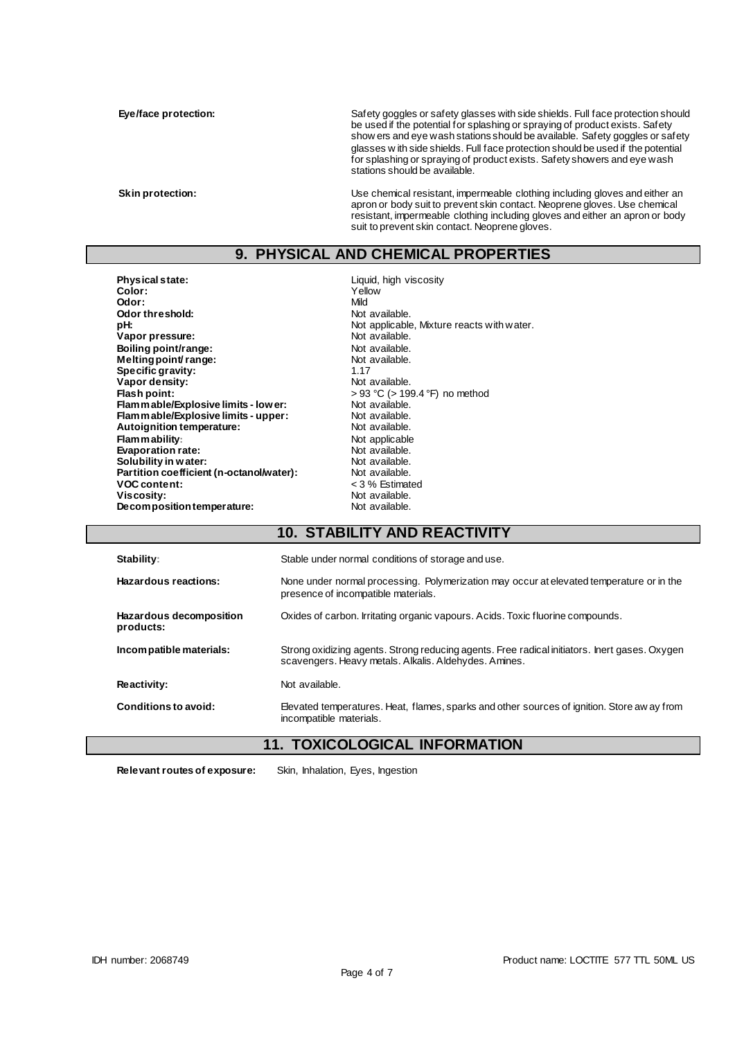Eye/face protection: Safety goggles or safety glasses with side shields. Full face protection should be used if the potential for splashing or spraying of product exists. Safety show ers and eye wash stations should be available. Safety goggles or safety glasses w ith side shields. Full face protection should be used if the potential for splashing or spraying of product exists. Safety showers and eye wash stations should be available.

**Skin protection:** Use chemical resistant, impermeable clothing including gloves and either an apron or body suit to prevent skin contact. Neoprene gloves. Use chemical resistant, impermeable clothing including gloves and either an apron or body suit to prevent skin contact. Neoprene gloves.

### **9. PHYSICAL AND CHEMICAL PROPERTIES**

**Physical state:** Liquid, high viscosity<br> **Color:** Color: Tellow **Color:** Yellow **Odor:** Mild **Odor threshold:** Not available.<br> **pH:** Not applicable **Vapor pressure:**  $\blacksquare$  Not available.<br> **Roiling point/range:**  $\blacksquare$  Not available. **Boiling point/range:**<br> **Melting point/range:**<br>
Melting point/range:<br>
Not available. **Melting point/ range:** Not available. Not available to the Not available.<br>
Specific gravity: 1.17 **Specific gravity:**  $\begin{array}{ccc} 1.17 \\ \text{Vapor density:} \end{array}$  1.17 Vapor density:<br>Flash point: **Flammable/Explosive limits - lower:** Not available.<br> **Flammable/Explosive limits - upper:** Not available. **Flammable/Explosive limits - upper:** Not available.<br> **Autoignition temperature:** Not available. **Autoignition temperature:**<br>Flam m ability: **Evaporation rate:**<br> **Solubility in water:** Not available.<br>
Not available. **Solubility in water: Not** available.<br> **Partition coefficient (n-octanol/water):** Not available. Partition coefficient (n-octanol/water):<br>VOC content: **VOC content:**  $\begin{array}{ccc} \sim & \sim & \sim & \sim & \sim & 3\% \text{ Estimate} \\ \text{Viscosity:} & \text{Not available.} \end{array}$ **Decomposition temperature:** 

Not applicable, Mixture reacts with water.<br>Not available. **Flash point:** > 93 °C (> 199.4 °F) no method **Not applicable**<br>Not available. Not available.<br>Not available.

### **10. STABILITY AND REACTIVITY**

| Stability:                           | Stable under normal conditions of storage and use.                                                                                                     |  |
|--------------------------------------|--------------------------------------------------------------------------------------------------------------------------------------------------------|--|
| Hazardous reactions:                 | None under normal processing. Polymerization may occur at elevated temperature or in the<br>presence of incompatible materials.                        |  |
| Hazardous decomposition<br>products: | Oxides of carbon. Irritating organic vapours. Acids. Toxic fluorine compounds.                                                                         |  |
| Incompatible materials:              | Strong oxidizing agents. Strong reducing agents. Free radical initiators. Inert gases. Oxygen<br>scavengers. Heavy metals. Alkalis. Aldehydes. Amines. |  |
| Reactivity:                          | Not available.                                                                                                                                         |  |
| Conditions to avoid:                 | Elevated temperatures. Heat, flames, sparks and other sources of ignition. Store aw ay from<br>incompatible materials.                                 |  |

### **11. TOXICOLOGICAL INFORMATION**

**Relevant routes of exposure:** Skin, Inhalation, Eyes, Ingestion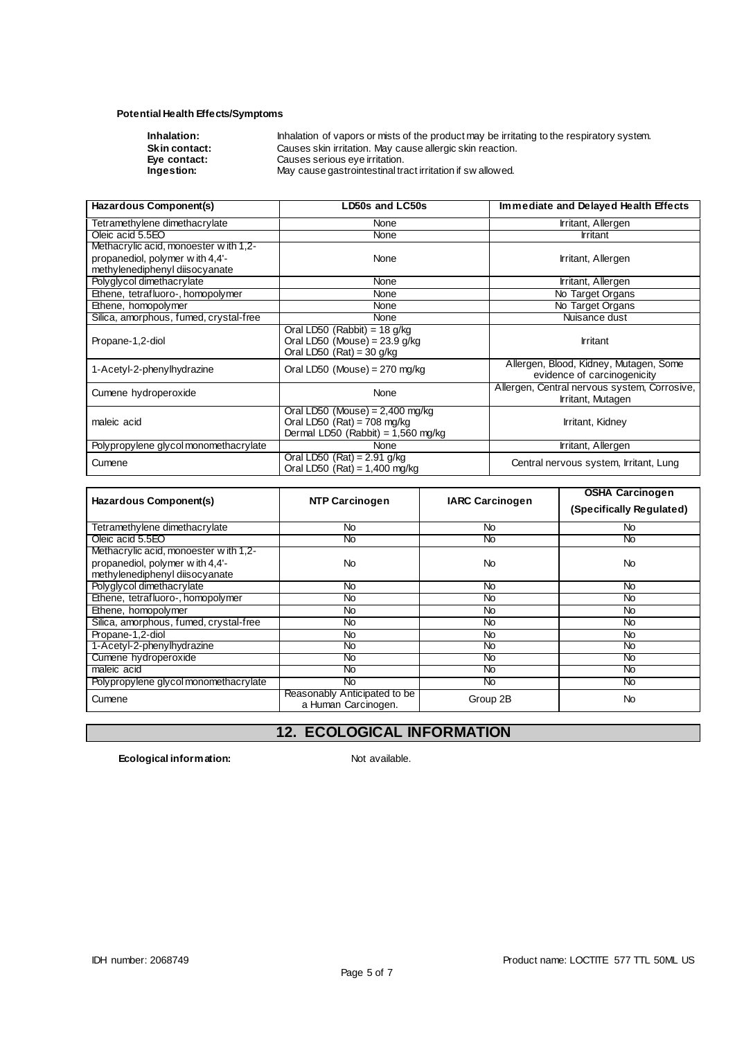#### **Potential Health Effects/Symptoms**

| Inhalation:  |
|--------------|
| Skin contact |
| Eye contact: |
|              |

**Inhalation:** Inhalation of vapors or mists of the product may be irritating to the respiratory system. **Skin contact:** Causes skin irritation. May cause allergic skin reaction. **Eye contact:** Causes serious eye irritation. **Ingestion:** May cause gastrointestinal tract irritation if sw allowed.

| Hazardous Component(s)                                                                                               | LD50s and LC50s                                                                                            | Immediate and Delayed Health Effects                                  |
|----------------------------------------------------------------------------------------------------------------------|------------------------------------------------------------------------------------------------------------|-----------------------------------------------------------------------|
| Tetramethylene dimethacrylate                                                                                        | <b>None</b>                                                                                                | Irritant, Allergen                                                    |
| Oleic acid 5.5EO                                                                                                     | None                                                                                                       | Irritant                                                              |
| Methacrylic acid, monoester with 1,2-<br>propanediol, polymer with 4,4'-<br>methylenediphenyl diisocyanate           | None                                                                                                       | Irritant, Allergen                                                    |
| Polyglycol dimethacrylate                                                                                            | None                                                                                                       | Irritant, Allergen                                                    |
| Ethene, tetrafluoro-, homopolymer                                                                                    | None                                                                                                       | No Target Organs                                                      |
| Ethene, homopolymer                                                                                                  | None                                                                                                       | No Target Organs                                                      |
| Silica, amorphous, fumed, crystal-free                                                                               | None                                                                                                       | Nuisance dust                                                         |
| Oral LD50 (Rabbit) = $18$ g/kg<br>Oral LD50 (Mouse) = $23.9$ g/kg<br>Propane-1,2-diol<br>Oral LD50 $(Rat) = 30$ g/kg |                                                                                                            | <b>Irritant</b>                                                       |
| 1-Acetyl-2-phenylhydrazine                                                                                           | Oral LD50 (Mouse) = $270$ mg/kg                                                                            | Allergen, Blood, Kidney, Mutagen, Some<br>evidence of carcinogenicity |
| Cumene hydroperoxide                                                                                                 | None                                                                                                       | Allergen, Central nervous system, Corrosive,<br>Irritant, Mutagen     |
| maleic acid                                                                                                          | Oral LD50 (Mouse) = $2,400$ mg/kg<br>Oral LD50 $(Rat) = 708$ mg/kg<br>Dermal LD50 (Rabbit) = $1,560$ mg/kg | Irritant, Kidney                                                      |
| Polypropylene glycol monomethacrylate                                                                                | <b>None</b>                                                                                                | Irritant, Allergen                                                    |
| Cumene                                                                                                               | Oral LD50 $(Rat) = 2.91$ g/kg<br>Oral LD50 $(Rat) = 1,400$ mg/kg                                           | Central nervous system, Irritant, Lung                                |

| Hazardous Component(s)                                                                                     | <b>NTP Carcinogen</b>                               | <b>IARC Carcinogen</b> | <b>OSHA Carcinogen</b><br>(Specifically Regulated) |
|------------------------------------------------------------------------------------------------------------|-----------------------------------------------------|------------------------|----------------------------------------------------|
| Tetramethylene dimethacrylate                                                                              | No                                                  | No.                    | No                                                 |
| Oleic acid 5.5EO                                                                                           | No                                                  | No                     | No                                                 |
| Methacrylic acid, monoester with 1,2-<br>propanediol, polymer with 4,4'-<br>methylenediphenyl diisocyanate | No                                                  | No                     | No                                                 |
| Polyglycol dimethacrylate                                                                                  | No.                                                 | No.                    | No.                                                |
| Ethene, tetrafluoro-, homopolymer                                                                          | No.                                                 | No.                    | No.                                                |
| Ethene, homopolymer                                                                                        | No.                                                 | No.                    | No.                                                |
| Silica, amorphous, fumed, crystal-free                                                                     | No.                                                 | No.                    | No.                                                |
| Propane-1,2-diol                                                                                           | No.                                                 | No.                    | No.                                                |
| 1-Acetyl-2-phenylhydrazine                                                                                 | No                                                  | No                     | No                                                 |
| Cumene hydroperoxide                                                                                       | No                                                  | No                     | No                                                 |
| maleic acid                                                                                                | No                                                  | No                     | No                                                 |
| Polypropylene glycol monomethacrylate                                                                      | No                                                  | No                     | No                                                 |
| Cumene                                                                                                     | Reasonably Anticipated to be<br>a Human Carcinogen. | Group 2B               | No.                                                |

## **12. ECOLOGICAL INFORMATION**

**Ecological information:** Not available.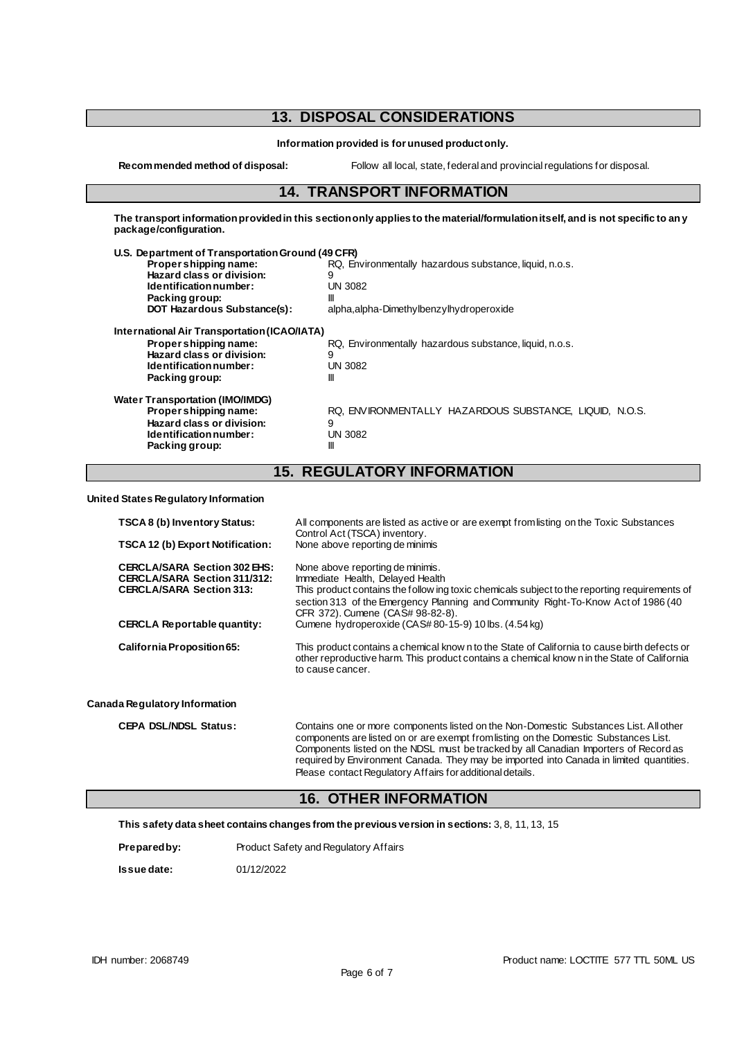## **13. DISPOSAL CONSIDERATIONS**

**Information provided is for unused product only.**

**Recommended method of disposal:** Follow all local, state, federal and provincial regulations for disposal.

#### **14. TRANSPORT INFORMATION**

**The transport information provided in this section only applies to the material/formulation itself, and is not specific to any package/configuration.**

| U.S. Department of Transportation Ground (49 CFR) |                                                         |
|---------------------------------------------------|---------------------------------------------------------|
| Propershipping name:                              | RQ, Environmentally hazardous substance, liquid, n.o.s. |
| Hazard class or division:                         | 9                                                       |
| Identification number:                            | <b>UN 3082</b>                                          |
| Packing group:                                    | Ш                                                       |
| DOT Hazardous Substance(s):                       | alpha, alpha-Dimethylbenzylhydroperoxide                |
| International Air Transportation (ICAO/IATA)      |                                                         |
| Proper shipping name:                             | RQ, Environmentally hazardous substance, liquid, n.o.s. |
| Hazard class or division:                         | 9                                                       |
| Identification number:                            | <b>UN 3082</b>                                          |
| Packing group:                                    | Ш                                                       |
| <b>Water Transportation (IMO/IMDG)</b>            |                                                         |
| Proper shipping name:                             | RQ. ENVIRONMENTALLY HAZARDOUS SUBSTANCE. LIQUID. N.O.S. |
| Hazard class or division:                         | 9                                                       |
| Identification number:                            | <b>UN 3082</b>                                          |
| Packing group:                                    | Ш                                                       |
|                                                   |                                                         |

# **15. REGULATORY INFORMATION**

**United States Regulatory Information**

| TSCA 8 (b) Inventory Status:                                                                                  | All components are listed as active or are exempt from listing on the Toxic Substances<br>Control Act (TSCA) inventory.<br>None above reporting de minimis                                                                                                                                                                                                       |  |
|---------------------------------------------------------------------------------------------------------------|------------------------------------------------------------------------------------------------------------------------------------------------------------------------------------------------------------------------------------------------------------------------------------------------------------------------------------------------------------------|--|
| TSCA 12 (b) Export Notification:                                                                              |                                                                                                                                                                                                                                                                                                                                                                  |  |
| <b>CERCLA/SARA Section 302 EHS:</b><br><b>CERCLA/SARA Section 311/312:</b><br><b>CERCLA/SARA Section 313:</b> | None above reporting de minimis.<br>Immediate Health, Delayed Health<br>This product contains the follow ing toxic chemicals subject to the reporting requirements of<br>section 313 of the Emergency Planning and Community Right-To-Know Act of 1986 (40<br>CFR 372). Cumene (CAS# 98-82-8).                                                                   |  |
| <b>CERCLA Reportable quantity:</b>                                                                            | Cumene hydroperoxide (CAS#80-15-9) 10 lbs. (4.54 kg)                                                                                                                                                                                                                                                                                                             |  |
| California Proposition 65:                                                                                    | This product contains a chemical know n to the State of California to cause birth defects or<br>other reproductive harm. This product contains a chemical know n in the State of California<br>to cause cancer.                                                                                                                                                  |  |
| Canada Regulatory Information                                                                                 |                                                                                                                                                                                                                                                                                                                                                                  |  |
| <b>CEPA DSL/NDSL Status:</b>                                                                                  | Contains one or more components listed on the Non-Domestic Substances List. All other<br>components are listed on or are exempt from listing on the Domestic Substances List.<br>Components listed on the NDSL must be tracked by all Canadian Importers of Record as<br>required by Environment Canada. They may be imported into Canada in limited quantities. |  |

#### **16. OTHER INFORMATION**

Please contact Regulatory Affairs for additional details.

**This safety data sheet contains changes from the previous version in sections:** 3, 8, 11, 13, 15

| Prepared by: | Product Safety and Regulatory Affairs |
|--------------|---------------------------------------|
|              |                                       |

**Issue date:** 01/12/2022